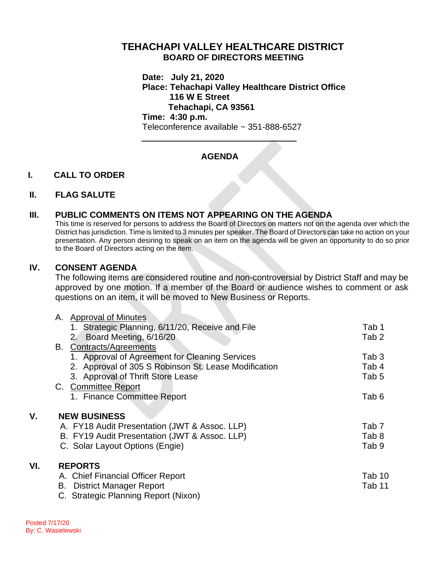# **TEHACHAPI VALLEY HEALTHCARE DISTRICT BOARD OF DIRECTORS MEETING**

**Date: July 21, 2020 Place: Tehachapi Valley Healthcare District Office 116 W E Street Tehachapi, CA 93561 Time: 4:30 p.m.**

Teleconference available ~ 351-888-6527

# **AGENDA**

## **I. CALL TO ORDER**

### **II. FLAG SALUTE**

## **III. PUBLIC COMMENTS ON ITEMS NOT APPEARING ON THE AGENDA**

This time is reserved for persons to address the Board of Directors on matters not on the agenda over which the District has jurisdiction. Time is limited to 3 minutes per speaker. The Board of Directors can take no action on your presentation. Any person desiring to speak on an item on the agenda will be given an opportunity to do so prior to the Board of Directors acting on the item.

### **IV. CONSENT AGENDA**

The following items are considered routine and non-controversial by District Staff and may be approved by one motion. If a member of the Board or audience wishes to comment or ask questions on an item, it will be moved to New Business or Reports.

|     | A. Approval of Minutes                               |                  |
|-----|------------------------------------------------------|------------------|
|     | Strategic Planning, 6/11/20, Receive and File<br>1.  | Tab 1            |
|     | 2. Board Meeting, 6/16/20                            | Tab <sub>2</sub> |
|     | <b>B.</b> Contracts/Agreements                       |                  |
|     | 1. Approval of Agreement for Cleaning Services       | Tab 3            |
|     | 2. Approval of 305 S Robinson St. Lease Modification | Tab 4            |
|     | 3. Approval of Thrift Store Lease                    | Tab 5            |
|     | C. Committee Report                                  |                  |
|     | 1. Finance Committee Report                          | Tab 6            |
|     |                                                      |                  |
| V.  | <b>NEW BUSINESS</b>                                  |                  |
|     | A. FY18 Audit Presentation (JWT & Assoc. LLP)        | Tab <sub>7</sub> |
|     | B. FY19 Audit Presentation (JWT & Assoc. LLP)        | Tab 8            |
|     | C. Solar Layout Options (Engie)                      | Tab 9            |
|     |                                                      |                  |
| VI. | <b>REPORTS</b>                                       |                  |
|     | A. Chief Financial Officer Report                    | Tab 10           |
|     | <b>B.</b> District Manager Report                    | Tab 11           |
|     | C. Strategic Planning Report (Nixon)                 |                  |
|     |                                                      |                  |

Posted 7/17/20 By: C. Wasielewski

**VI.**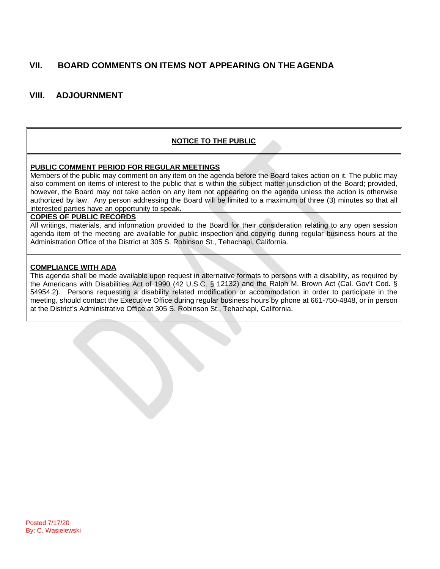# **VII. BOARD COMMENTS ON ITEMS NOT APPEARING ON THE AGENDA**

## **VIII. ADJOURNMENT**

## **NOTICE TO THE PUBLIC**

#### **PUBLIC COMMENT PERIOD FOR REGULAR MEETINGS**

Members of the public may comment on any item on the agenda before the Board takes action on it. The public may also comment on items of interest to the public that is within the subject matter jurisdiction of the Board; provided, however, the Board may not take action on any item not appearing on the agenda unless the action is otherwise authorized by law. Any person addressing the Board will be limited to a maximum of three (3) minutes so that all interested parties have an opportunity to speak.

#### **COPIES OF PUBLIC RECORDS**

All writings, materials, and information provided to the Board for their consideration relating to any open session agenda item of the meeting are available for public inspection and copying during regular business hours at the Administration Office of the District at 305 S. Robinson St., Tehachapi, California.

#### **COMPLIANCE WITH ADA**

This agenda shall be made available upon request in alternative formats to persons with a disability, as required by the Americans with Disabilities Act of 1990 (42 U.S.C. § 12132) and the Ralph M. Brown Act (Cal. Gov't Cod. § 54954.2). Persons requesting a disability related modification or accommodation in order to participate in the meeting, should contact the Executive Office during regular business hours by phone at 661-750-4848, or in person at the District's Administrative Office at 305 S. Robinson St., Tehachapi, California.